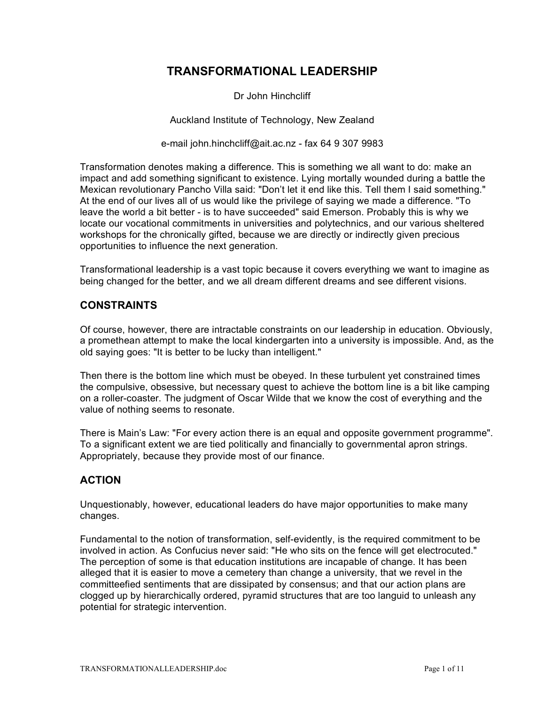# **TRANSFORMATIONAL LEADERSHIP**

Dr John Hinchcliff

Auckland Institute of Technology, New Zealand

e-mail john.hinchcliff@ait.ac.nz - fax 64 9 307 9983

Transformation denotes making a difference. This is something we all want to do: make an impact and add something significant to existence. Lying mortally wounded during a battle the Mexican revolutionary Pancho Villa said: "Don't let it end like this. Tell them I said something." At the end of our lives all of us would like the privilege of saying we made a difference. "To leave the world a bit better - is to have succeeded" said Emerson. Probably this is why we locate our vocational commitments in universities and polytechnics, and our various sheltered workshops for the chronically gifted, because we are directly or indirectly given precious opportunities to influence the next generation.

Transformational leadership is a vast topic because it covers everything we want to imagine as being changed for the better, and we all dream different dreams and see different visions.

#### **CONSTRAINTS**

Of course, however, there are intractable constraints on our leadership in education. Obviously, a promethean attempt to make the local kindergarten into a university is impossible. And, as the old saying goes: "It is better to be lucky than intelligent."

Then there is the bottom line which must be obeyed. In these turbulent yet constrained times the compulsive, obsessive, but necessary quest to achieve the bottom line is a bit like camping on a roller-coaster. The judgment of Oscar Wilde that we know the cost of everything and the value of nothing seems to resonate.

There is Main's Law: "For every action there is an equal and opposite government programme". To a significant extent we are tied politically and financially to governmental apron strings. Appropriately, because they provide most of our finance.

#### **ACTION**

Unquestionably, however, educational leaders do have major opportunities to make many changes.

Fundamental to the notion of transformation, self-evidently, is the required commitment to be involved in action. As Confucius never said: "He who sits on the fence will get electrocuted." The perception of some is that education institutions are incapable of change. It has been alleged that it is easier to move a cemetery than change a university, that we revel in the committeefied sentiments that are dissipated by consensus; and that our action plans are clogged up by hierarchically ordered, pyramid structures that are too languid to unleash any potential for strategic intervention.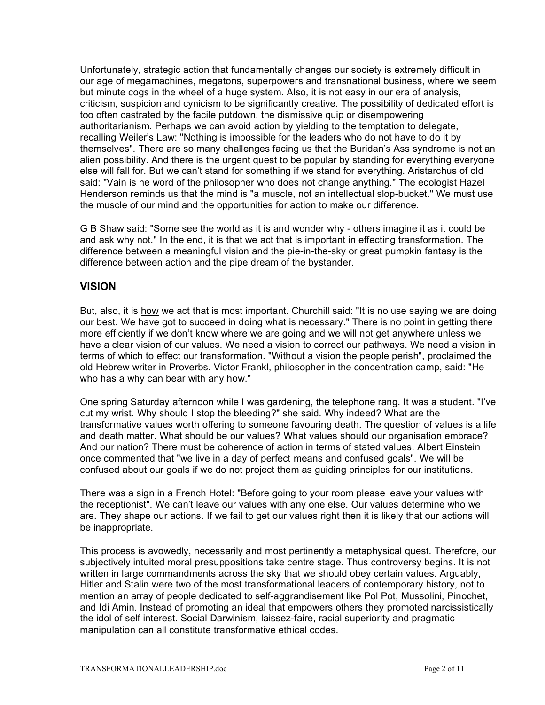Unfortunately, strategic action that fundamentally changes our society is extremely difficult in our age of megamachines, megatons, superpowers and transnational business, where we seem but minute cogs in the wheel of a huge system. Also, it is not easy in our era of analysis, criticism, suspicion and cynicism to be significantly creative. The possibility of dedicated effort is too often castrated by the facile putdown, the dismissive quip or disempowering authoritarianism. Perhaps we can avoid action by yielding to the temptation to delegate, recalling Weiler's Law: "Nothing is impossible for the leaders who do not have to do it by themselves". There are so many challenges facing us that the Buridan's Ass syndrome is not an alien possibility. And there is the urgent quest to be popular by standing for everything everyone else will fall for. But we can't stand for something if we stand for everything. Aristarchus of old said: "Vain is he word of the philosopher who does not change anything." The ecologist Hazel Henderson reminds us that the mind is "a muscle, not an intellectual slop-bucket." We must use the muscle of our mind and the opportunities for action to make our difference.

G B Shaw said: "Some see the world as it is and wonder why - others imagine it as it could be and ask why not." In the end, it is that we act that is important in effecting transformation. The difference between a meaningful vision and the pie-in-the-sky or great pumpkin fantasy is the difference between action and the pipe dream of the bystander.

## **VISION**

But, also, it is how we act that is most important. Churchill said: "It is no use saying we are doing our best. We have got to succeed in doing what is necessary." There is no point in getting there more efficiently if we don't know where we are going and we will not get anywhere unless we have a clear vision of our values. We need a vision to correct our pathways. We need a vision in terms of which to effect our transformation. "Without a vision the people perish", proclaimed the old Hebrew writer in Proverbs. Victor Frankl, philosopher in the concentration camp, said: "He who has a why can bear with any how."

One spring Saturday afternoon while I was gardening, the telephone rang. It was a student. "I've cut my wrist. Why should I stop the bleeding?" she said. Why indeed? What are the transformative values worth offering to someone favouring death. The question of values is a life and death matter. What should be our values? What values should our organisation embrace? And our nation? There must be coherence of action in terms of stated values. Albert Einstein once commented that "we live in a day of perfect means and confused goals". We will be confused about our goals if we do not project them as guiding principles for our institutions.

There was a sign in a French Hotel: "Before going to your room please leave your values with the receptionist". We can't leave our values with any one else. Our values determine who we are. They shape our actions. If we fail to get our values right then it is likely that our actions will be inappropriate.

This process is avowedly, necessarily and most pertinently a metaphysical quest. Therefore, our subjectively intuited moral presuppositions take centre stage. Thus controversy begins. It is not written in large commandments across the sky that we should obey certain values. Arguably, Hitler and Stalin were two of the most transformational leaders of contemporary history, not to mention an array of people dedicated to self-aggrandisement like Pol Pot, Mussolini, Pinochet, and Idi Amin. Instead of promoting an ideal that empowers others they promoted narcissistically the idol of self interest. Social Darwinism, laissez-faire, racial superiority and pragmatic manipulation can all constitute transformative ethical codes.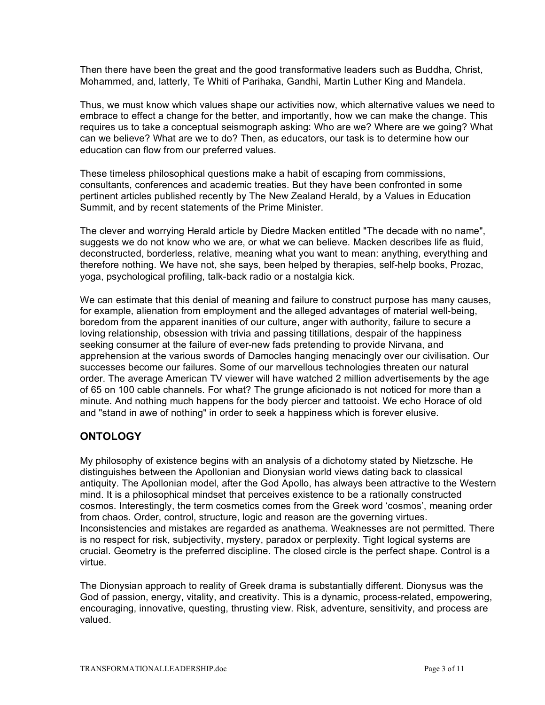Then there have been the great and the good transformative leaders such as Buddha, Christ, Mohammed, and, latterly, Te Whiti of Parihaka, Gandhi, Martin Luther King and Mandela.

Thus, we must know which values shape our activities now, which alternative values we need to embrace to effect a change for the better, and importantly, how we can make the change. This requires us to take a conceptual seismograph asking: Who are we? Where are we going? What can we believe? What are we to do? Then, as educators, our task is to determine how our education can flow from our preferred values.

These timeless philosophical questions make a habit of escaping from commissions, consultants, conferences and academic treaties. But they have been confronted in some pertinent articles published recently by The New Zealand Herald, by a Values in Education Summit, and by recent statements of the Prime Minister.

The clever and worrying Herald article by Diedre Macken entitled "The decade with no name", suggests we do not know who we are, or what we can believe. Macken describes life as fluid, deconstructed, borderless, relative, meaning what you want to mean: anything, everything and therefore nothing. We have not, she says, been helped by therapies, self-help books, Prozac, yoga, psychological profiling, talk-back radio or a nostalgia kick.

We can estimate that this denial of meaning and failure to construct purpose has many causes, for example, alienation from employment and the alleged advantages of material well-being, boredom from the apparent inanities of our culture, anger with authority, failure to secure a loving relationship, obsession with trivia and passing titillations, despair of the happiness seeking consumer at the failure of ever-new fads pretending to provide Nirvana, and apprehension at the various swords of Damocles hanging menacingly over our civilisation. Our successes become our failures. Some of our marvellous technologies threaten our natural order. The average American TV viewer will have watched 2 million advertisements by the age of 65 on 100 cable channels. For what? The grunge aficionado is not noticed for more than a minute. And nothing much happens for the body piercer and tattooist. We echo Horace of old and "stand in awe of nothing" in order to seek a happiness which is forever elusive.

# **ONTOLOGY**

My philosophy of existence begins with an analysis of a dichotomy stated by Nietzsche. He distinguishes between the Apollonian and Dionysian world views dating back to classical antiquity. The Apollonian model, after the God Apollo, has always been attractive to the Western mind. It is a philosophical mindset that perceives existence to be a rationally constructed cosmos. Interestingly, the term cosmetics comes from the Greek word 'cosmos', meaning order from chaos. Order, control, structure, logic and reason are the governing virtues. Inconsistencies and mistakes are regarded as anathema. Weaknesses are not permitted. There is no respect for risk, subjectivity, mystery, paradox or perplexity. Tight logical systems are crucial. Geometry is the preferred discipline. The closed circle is the perfect shape. Control is a virtue.

The Dionysian approach to reality of Greek drama is substantially different. Dionysus was the God of passion, energy, vitality, and creativity. This is a dynamic, process-related, empowering, encouraging, innovative, questing, thrusting view. Risk, adventure, sensitivity, and process are valued.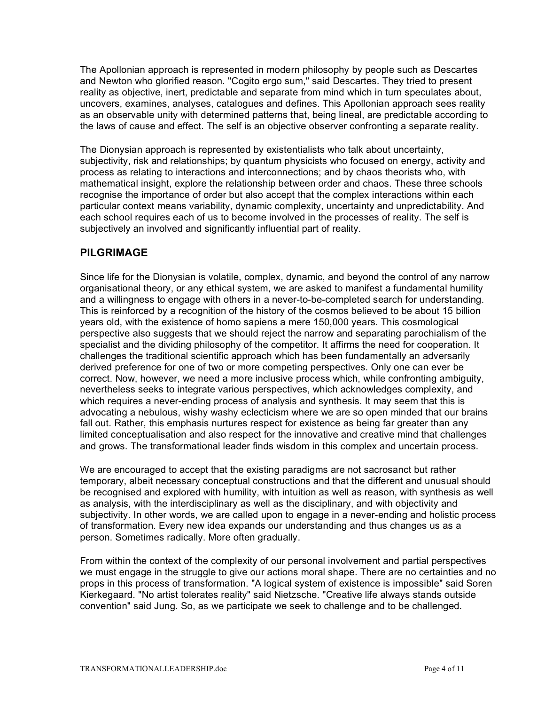The Apollonian approach is represented in modern philosophy by people such as Descartes and Newton who glorified reason. "Cogito ergo sum," said Descartes. They tried to present reality as objective, inert, predictable and separate from mind which in turn speculates about, uncovers, examines, analyses, catalogues and defines. This Apollonian approach sees reality as an observable unity with determined patterns that, being lineal, are predictable according to the laws of cause and effect. The self is an objective observer confronting a separate reality.

The Dionysian approach is represented by existentialists who talk about uncertainty, subjectivity, risk and relationships; by quantum physicists who focused on energy, activity and process as relating to interactions and interconnections; and by chaos theorists who, with mathematical insight, explore the relationship between order and chaos. These three schools recognise the importance of order but also accept that the complex interactions within each particular context means variability, dynamic complexity, uncertainty and unpredictability. And each school requires each of us to become involved in the processes of reality. The self is subjectively an involved and significantly influential part of reality.

# **PILGRIMAGE**

Since life for the Dionysian is volatile, complex, dynamic, and beyond the control of any narrow organisational theory, or any ethical system, we are asked to manifest a fundamental humility and a willingness to engage with others in a never-to-be-completed search for understanding. This is reinforced by a recognition of the history of the cosmos believed to be about 15 billion years old, with the existence of homo sapiens a mere 150,000 years. This cosmological perspective also suggests that we should reject the narrow and separating parochialism of the specialist and the dividing philosophy of the competitor. It affirms the need for cooperation. It challenges the traditional scientific approach which has been fundamentally an adversarily derived preference for one of two or more competing perspectives. Only one can ever be correct. Now, however, we need a more inclusive process which, while confronting ambiguity, nevertheless seeks to integrate various perspectives, which acknowledges complexity, and which requires a never-ending process of analysis and synthesis. It may seem that this is advocating a nebulous, wishy washy eclecticism where we are so open minded that our brains fall out. Rather, this emphasis nurtures respect for existence as being far greater than any limited conceptualisation and also respect for the innovative and creative mind that challenges and grows. The transformational leader finds wisdom in this complex and uncertain process.

We are encouraged to accept that the existing paradigms are not sacrosanct but rather temporary, albeit necessary conceptual constructions and that the different and unusual should be recognised and explored with humility, with intuition as well as reason, with synthesis as well as analysis, with the interdisciplinary as well as the disciplinary, and with objectivity and subjectivity. In other words, we are called upon to engage in a never-ending and holistic process of transformation. Every new idea expands our understanding and thus changes us as a person. Sometimes radically. More often gradually.

From within the context of the complexity of our personal involvement and partial perspectives we must engage in the struggle to give our actions moral shape. There are no certainties and no props in this process of transformation. "A logical system of existence is impossible" said Soren Kierkegaard. "No artist tolerates reality" said Nietzsche. "Creative life always stands outside convention" said Jung. So, as we participate we seek to challenge and to be challenged.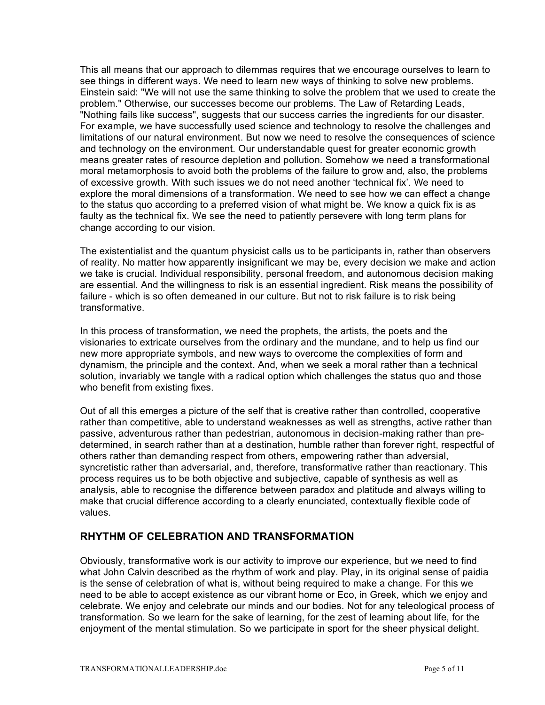This all means that our approach to dilemmas requires that we encourage ourselves to learn to see things in different ways. We need to learn new ways of thinking to solve new problems. Einstein said: "We will not use the same thinking to solve the problem that we used to create the problem." Otherwise, our successes become our problems. The Law of Retarding Leads, "Nothing fails like success", suggests that our success carries the ingredients for our disaster. For example, we have successfully used science and technology to resolve the challenges and limitations of our natural environment. But now we need to resolve the consequences of science and technology on the environment. Our understandable quest for greater economic growth means greater rates of resource depletion and pollution. Somehow we need a transformational moral metamorphosis to avoid both the problems of the failure to grow and, also, the problems of excessive growth. With such issues we do not need another 'technical fix'. We need to explore the moral dimensions of a transformation. We need to see how we can effect a change to the status quo according to a preferred vision of what might be. We know a quick fix is as faulty as the technical fix. We see the need to patiently persevere with long term plans for change according to our vision.

The existentialist and the quantum physicist calls us to be participants in, rather than observers of reality. No matter how apparently insignificant we may be, every decision we make and action we take is crucial. Individual responsibility, personal freedom, and autonomous decision making are essential. And the willingness to risk is an essential ingredient. Risk means the possibility of failure - which is so often demeaned in our culture. But not to risk failure is to risk being transformative.

In this process of transformation, we need the prophets, the artists, the poets and the visionaries to extricate ourselves from the ordinary and the mundane, and to help us find our new more appropriate symbols, and new ways to overcome the complexities of form and dynamism, the principle and the context. And, when we seek a moral rather than a technical solution, invariably we tangle with a radical option which challenges the status quo and those who benefit from existing fixes.

Out of all this emerges a picture of the self that is creative rather than controlled, cooperative rather than competitive, able to understand weaknesses as well as strengths, active rather than passive, adventurous rather than pedestrian, autonomous in decision-making rather than predetermined, in search rather than at a destination, humble rather than forever right, respectful of others rather than demanding respect from others, empowering rather than adversial, syncretistic rather than adversarial, and, therefore, transformative rather than reactionary. This process requires us to be both objective and subjective, capable of synthesis as well as analysis, able to recognise the difference between paradox and platitude and always willing to make that crucial difference according to a clearly enunciated, contextually flexible code of values.

## **RHYTHM OF CELEBRATION AND TRANSFORMATION**

Obviously, transformative work is our activity to improve our experience, but we need to find what John Calvin described as the rhythm of work and play. Play, in its original sense of paidia is the sense of celebration of what is, without being required to make a change. For this we need to be able to accept existence as our vibrant home or Eco, in Greek, which we enjoy and celebrate. We enjoy and celebrate our minds and our bodies. Not for any teleological process of transformation. So we learn for the sake of learning, for the zest of learning about life, for the enjoyment of the mental stimulation. So we participate in sport for the sheer physical delight.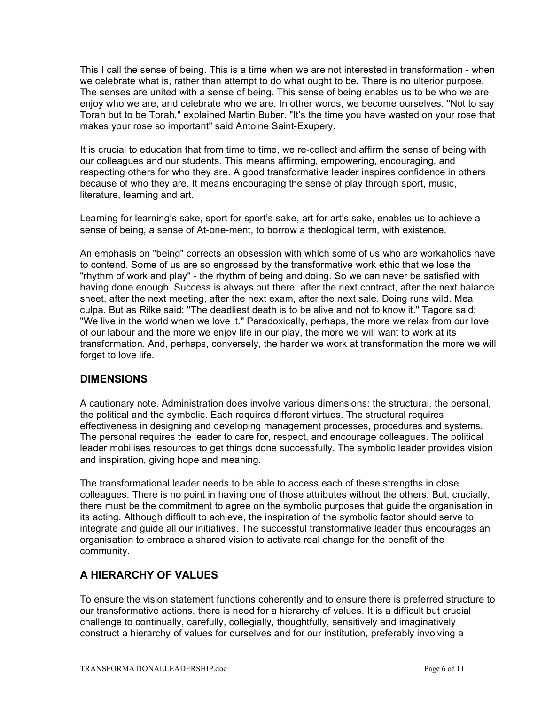This I call the sense of being. This is a time when we are not interested in transformation - when we celebrate what is, rather than attempt to do what ought to be. There is no ulterior purpose. The senses are united with a sense of being. This sense of being enables us to be who we are, enjoy who we are, and celebrate who we are. In other words, we become ourselves. "Not to say Torah but to be Torah," explained Martin Buber. "It's the time you have wasted on your rose that makes your rose so important" said Antoine Saint-Exupery.

It is crucial to education that from time to time, we re-collect and affirm the sense of being with our colleagues and our students. This means affirming, empowering, encouraging, and respecting others for who they are. A good transformative leader inspires confidence in others because of who they are. It means encouraging the sense of play through sport, music, literature, learning and art.

Learning for learning's sake, sport for sport's sake, art for art's sake, enables us to achieve a sense of being, a sense of At-one-ment, to borrow a theological term, with existence.

An emphasis on "being" corrects an obsession with which some of us who are workaholics have to contend. Some of us are so engrossed by the transformative work ethic that we lose the "rhythm of work and play" - the rhythm of being and doing. So we can never be satisfied with having done enough. Success is always out there, after the next contract, after the next balance sheet, after the next meeting, after the next exam, after the next sale. Doing runs wild. Mea culpa. But as Rilke said: "The deadliest death is to be alive and not to know it." Tagore said: "We live in the world when we love it." Paradoxically, perhaps, the more we relax from our love of our labour and the more we enjoy life in our play, the more we will want to work at its transformation. And, perhaps, conversely, the harder we work at transformation the more we will forget to love life.

## **DIMENSIONS**

A cautionary note. Administration does involve various dimensions: the structural, the personal, the political and the symbolic. Each requires different virtues. The structural requires effectiveness in designing and developing management processes, procedures and systems. The personal requires the leader to care for, respect, and encourage colleagues. The political leader mobilises resources to get things done successfully. The symbolic leader provides vision and inspiration, giving hope and meaning.

The transformational leader needs to be able to access each of these strengths in close colleagues. There is no point in having one of those attributes without the others. But, crucially, there must be the commitment to agree on the symbolic purposes that guide the organisation in its acting. Although difficult to achieve, the inspiration of the symbolic factor should serve to integrate and guide all our initiatives. The successful transformative leader thus encourages an organisation to embrace a shared vision to activate real change for the benefit of the community.

# **A HIERARCHY OF VALUES**

To ensure the vision statement functions coherently and to ensure there is preferred structure to our transformative actions, there is need for a hierarchy of values. It is a difficult but crucial challenge to continually, carefully, collegially, thoughtfully, sensitively and imaginatively construct a hierarchy of values for ourselves and for our institution, preferably involving a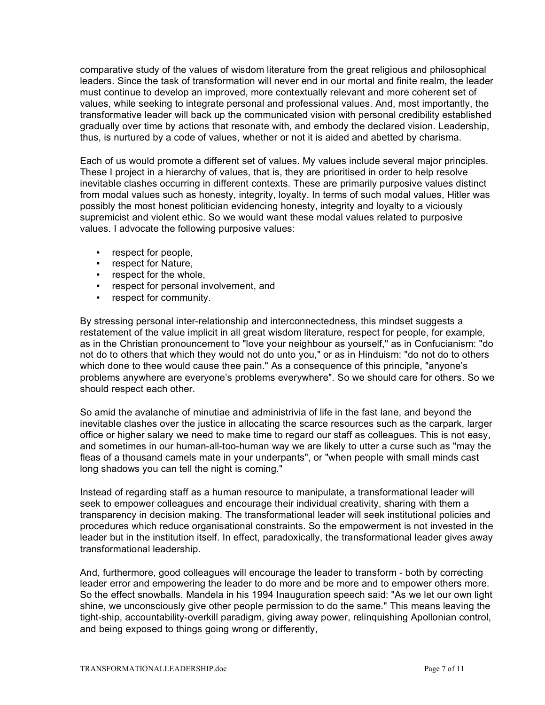comparative study of the values of wisdom literature from the great religious and philosophical leaders. Since the task of transformation will never end in our mortal and finite realm, the leader must continue to develop an improved, more contextually relevant and more coherent set of values, while seeking to integrate personal and professional values. And, most importantly, the transformative leader will back up the communicated vision with personal credibility established gradually over time by actions that resonate with, and embody the declared vision. Leadership, thus, is nurtured by a code of values, whether or not it is aided and abetted by charisma.

Each of us would promote a different set of values. My values include several major principles. These I project in a hierarchy of values, that is, they are prioritised in order to help resolve inevitable clashes occurring in different contexts. These are primarily purposive values distinct from modal values such as honesty, integrity, loyalty. In terms of such modal values, Hitler was possibly the most honest politician evidencing honesty, integrity and loyalty to a viciously supremicist and violent ethic. So we would want these modal values related to purposive values. I advocate the following purposive values:

- respect for people,
- respect for Nature,
- respect for the whole,
- respect for personal involvement, and
- respect for community.

By stressing personal inter-relationship and interconnectedness, this mindset suggests a restatement of the value implicit in all great wisdom literature, respect for people, for example, as in the Christian pronouncement to "love your neighbour as yourself," as in Confucianism: "do not do to others that which they would not do unto you," or as in Hinduism: "do not do to others which done to thee would cause thee pain." As a consequence of this principle, "anyone's problems anywhere are everyone's problems everywhere". So we should care for others. So we should respect each other.

So amid the avalanche of minutiae and administrivia of life in the fast lane, and beyond the inevitable clashes over the justice in allocating the scarce resources such as the carpark, larger office or higher salary we need to make time to regard our staff as colleagues. This is not easy, and sometimes in our human-all-too-human way we are likely to utter a curse such as "may the fleas of a thousand camels mate in your underpants", or "when people with small minds cast long shadows you can tell the night is coming."

Instead of regarding staff as a human resource to manipulate, a transformational leader will seek to empower colleagues and encourage their individual creativity, sharing with them a transparency in decision making. The transformational leader will seek institutional policies and procedures which reduce organisational constraints. So the empowerment is not invested in the leader but in the institution itself. In effect, paradoxically, the transformational leader gives away transformational leadership.

And, furthermore, good colleagues will encourage the leader to transform - both by correcting leader error and empowering the leader to do more and be more and to empower others more. So the effect snowballs. Mandela in his 1994 Inauguration speech said: "As we let our own light shine, we unconsciously give other people permission to do the same." This means leaving the tight-ship, accountability-overkill paradigm, giving away power, relinquishing Apollonian control, and being exposed to things going wrong or differently,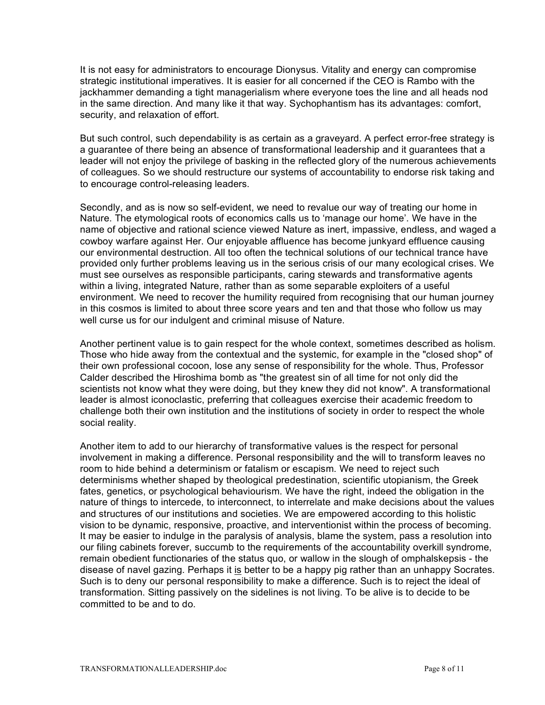It is not easy for administrators to encourage Dionysus. Vitality and energy can compromise strategic institutional imperatives. It is easier for all concerned if the CEO is Rambo with the jackhammer demanding a tight managerialism where everyone toes the line and all heads nod in the same direction. And many like it that way. Sychophantism has its advantages: comfort, security, and relaxation of effort.

But such control, such dependability is as certain as a graveyard. A perfect error-free strategy is a guarantee of there being an absence of transformational leadership and it guarantees that a leader will not enjoy the privilege of basking in the reflected glory of the numerous achievements of colleagues. So we should restructure our systems of accountability to endorse risk taking and to encourage control-releasing leaders.

Secondly, and as is now so self-evident, we need to revalue our way of treating our home in Nature. The etymological roots of economics calls us to 'manage our home'. We have in the name of objective and rational science viewed Nature as inert, impassive, endless, and waged a cowboy warfare against Her. Our enjoyable affluence has become junkyard effluence causing our environmental destruction. All too often the technical solutions of our technical trance have provided only further problems leaving us in the serious crisis of our many ecological crises. We must see ourselves as responsible participants, caring stewards and transformative agents within a living, integrated Nature, rather than as some separable exploiters of a useful environment. We need to recover the humility required from recognising that our human journey in this cosmos is limited to about three score years and ten and that those who follow us may well curse us for our indulgent and criminal misuse of Nature.

Another pertinent value is to gain respect for the whole context, sometimes described as holism. Those who hide away from the contextual and the systemic, for example in the "closed shop" of their own professional cocoon, lose any sense of responsibility for the whole. Thus, Professor Calder described the Hiroshima bomb as "the greatest sin of all time for not only did the scientists not know what they were doing, but they knew they did not know". A transformational leader is almost iconoclastic, preferring that colleagues exercise their academic freedom to challenge both their own institution and the institutions of society in order to respect the whole social reality.

Another item to add to our hierarchy of transformative values is the respect for personal involvement in making a difference. Personal responsibility and the will to transform leaves no room to hide behind a determinism or fatalism or escapism. We need to reject such determinisms whether shaped by theological predestination, scientific utopianism, the Greek fates, genetics, or psychological behaviourism. We have the right, indeed the obligation in the nature of things to intercede, to interconnect, to interrelate and make decisions about the values and structures of our institutions and societies. We are empowered according to this holistic vision to be dynamic, responsive, proactive, and interventionist within the process of becoming. It may be easier to indulge in the paralysis of analysis, blame the system, pass a resolution into our filing cabinets forever, succumb to the requirements of the accountability overkill syndrome, remain obedient functionaries of the status quo, or wallow in the slough of omphalskepsis - the disease of navel gazing. Perhaps it is better to be a happy pig rather than an unhappy Socrates. Such is to deny our personal responsibility to make a difference. Such is to reject the ideal of transformation. Sitting passively on the sidelines is not living. To be alive is to decide to be committed to be and to do.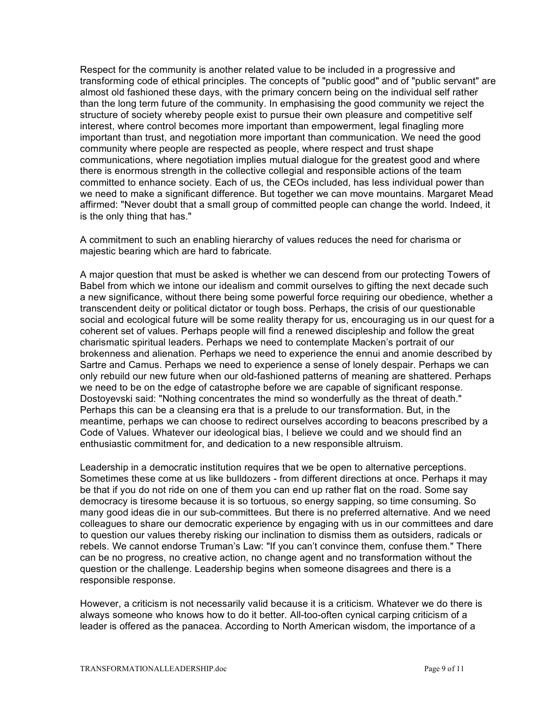Respect for the community is another related value to be included in a progressive and transforming code of ethical principles. The concepts of "public good" and of "public servant" are almost old fashioned these days, with the primary concern being on the individual self rather than the long term future of the community. In emphasising the good community we reject the structure of society whereby people exist to pursue their own pleasure and competitive self interest, where control becomes more important than empowerment, legal finagling more important than trust, and negotiation more important than communication. We need the good community where people are respected as people, where respect and trust shape communications, where negotiation implies mutual dialogue for the greatest good and where there is enormous strength in the collective collegial and responsible actions of the team committed to enhance society. Each of us, the CEOs included, has less individual power than we need to make a significant difference. But together we can move mountains. Margaret Mead affirmed: "Never doubt that a small group of committed people can change the world. Indeed, it is the only thing that has."

A commitment to such an enabling hierarchy of values reduces the need for charisma or majestic bearing which are hard to fabricate.

A major question that must be asked is whether we can descend from our protecting Towers of Babel from which we intone our idealism and commit ourselves to gifting the next decade such a new significance, without there being some powerful force requiring our obedience, whether a transcendent deity or political dictator or tough boss. Perhaps, the crisis of our questionable social and ecological future will be some reality therapy for us, encouraging us in our quest for a coherent set of values. Perhaps people will find a renewed discipleship and follow the great charismatic spiritual leaders. Perhaps we need to contemplate Macken's portrait of our brokenness and alienation. Perhaps we need to experience the ennui and anomie described by Sartre and Camus. Perhaps we need to experience a sense of lonely despair. Perhaps we can only rebuild our new future when our old-fashioned patterns of meaning are shattered. Perhaps we need to be on the edge of catastrophe before we are capable of significant response. Dostoyevski said: "Nothing concentrates the mind so wonderfully as the threat of death." Perhaps this can be a cleansing era that is a prelude to our transformation. But, in the meantime, perhaps we can choose to redirect ourselves according to beacons prescribed by a Code of Values. Whatever our ideological bias, I believe we could and we should find an enthusiastic commitment for, and dedication to a new responsible altruism.

Leadership in a democratic institution requires that we be open to alternative perceptions. Sometimes these come at us like bulldozers - from different directions at once. Perhaps it may be that if you do not ride on one of them you can end up rather flat on the road. Some say democracy is tiresome because it is so tortuous, so energy sapping, so time consuming. So many good ideas die in our sub-committees. But there is no preferred alternative. And we need colleagues to share our democratic experience by engaging with us in our committees and dare to question our values thereby risking our inclination to dismiss them as outsiders, radicals or rebels. We cannot endorse Truman's Law: "If you can't convince them, confuse them." There can be no progress, no creative action, no change agent and no transformation without the question or the challenge. Leadership begins when someone disagrees and there is a responsible response.

However, a criticism is not necessarily valid because it is a criticism. Whatever we do there is always someone who knows how to do it better. All-too-often cynical carping criticism of a leader is offered as the panacea. According to North American wisdom, the importance of a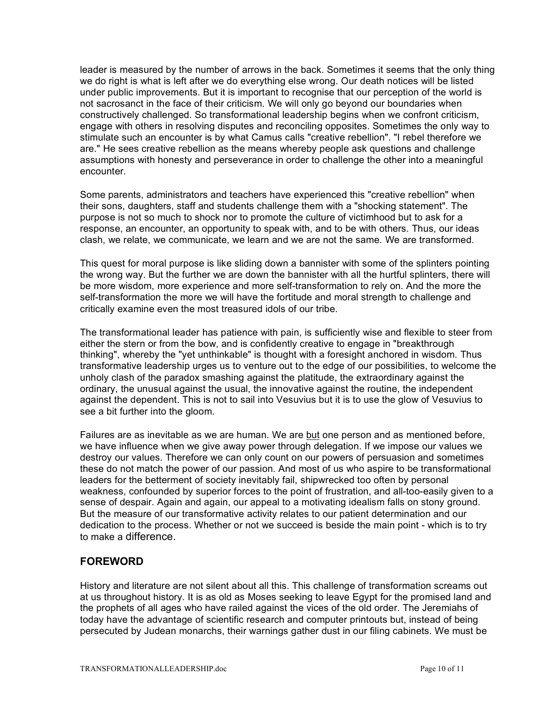leader is measured by the number of arrows in the back. Sometimes it seems that the only thing we do right is what is left after we do everything else wrong. Our death notices will be listed under public improvements. But it is important to recognise that our perception of the world is not sacrosanct in the face of their criticism. We will only go beyond our boundaries when constructively challenged. So transformational leadership begins when we confront criticism, engage with others in resolving disputes and reconciling opposites. Sometimes the only way to stimulate such an encounter is by what Camus calls "creative rebellion". "I rebel therefore we are." He sees creative rebellion as the means whereby people ask questions and challenge assumptions with honesty and perseverance in order to challenge the other into a meaningful encounter.

Some parents, administrators and teachers have experienced this "creative rebellion" when their sons, daughters, staff and students challenge them with a "shocking statement". The purpose is not so much to shock nor to promote the culture of victimhood but to ask for a response, an encounter, an opportunity to speak with, and to be with others. Thus, our ideas clash, we relate, we communicate, we learn and we are not the same. We are transformed.

This quest for moral purpose is like sliding down a bannister with some of the splinters pointing the wrong way. But the further we are down the bannister with all the hurtful splinters, there will be more wisdom, more experience and more self-transformation to rely on. And the more the self-transformation the more we will have the fortitude and moral strength to challenge and critically examine even the most treasured idols of our tribe.

The transformational leader has patience with pain, is sufficiently wise and flexible to steer from either the stern or from the bow, and is confidently creative to engage in "breakthrough thinking", whereby the "yet unthinkable" is thought with a foresight anchored in wisdom. Thus transformative leadership urges us to venture out to the edge of our possibilities, to welcome the unholy clash of the paradox smashing against the platitude, the extraordinary against the ordinary, the unusual against the usual, the innovative against the routine, the independent against the dependent. This is not to sail into Vesuvius but it is to use the glow of Vesuvius to see a bit further into the gloom.

Failures are as inevitable as we are human. We are but one person and as mentioned before, we have influence when we give away power through delegation. If we impose our values we destroy our values. Therefore we can only count on our powers of persuasion and sometimes these do not match the power of our passion. And most of us who aspire to be transformational leaders for the betterment of society inevitably fail, shipwrecked too often by personal weakness, confounded by superior forces to the point of frustration, and all-too-easily given to a sense of despair. Again and again, our appeal to a motivating idealism falls on stony ground. But the measure of our transformative activity relates to our patient determination and our dedication to the process. Whether or not we succeed is beside the main point - which is to try to make a difference.

## **FOREWORD**

History and literature are not silent about all this. This challenge of transformation screams out at us throughout history. It is as old as Moses seeking to leave Egypt for the promised land and the prophets of all ages who have railed against the vices of the old order. The Jeremiahs of today have the advantage of scientific research and computer printouts but, instead of being persecuted by Judean monarchs, their warnings gather dust in our filing cabinets. We must be